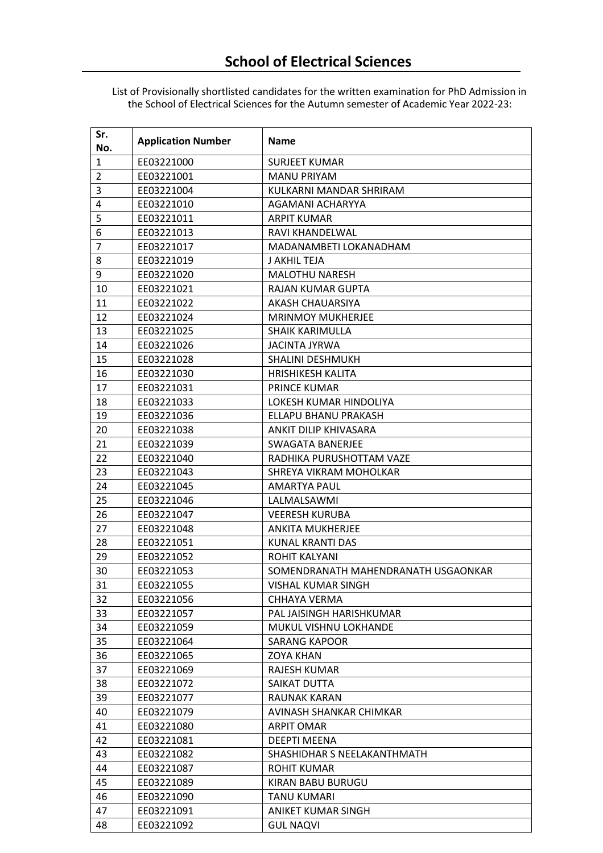List of Provisionally shortlisted candidates for the written examination for PhD Admission in the School of Electrical Sciences for the Autumn semester of Academic Year 2022-23:

| Sr.<br>No.     | <b>Application Number</b> | <b>Name</b>                         |
|----------------|---------------------------|-------------------------------------|
| $\mathbf{1}$   | EE03221000                | <b>SURJEET KUMAR</b>                |
| $\overline{2}$ | EE03221001                | <b>MANU PRIYAM</b>                  |
| 3              | EE03221004                | KULKARNI MANDAR SHRIRAM             |
| 4              | EE03221010                | AGAMANI ACHARYYA                    |
| 5              | EE03221011                | <b>ARPIT KUMAR</b>                  |
| 6              | EE03221013                | RAVI KHANDELWAL                     |
| 7              | EE03221017                | MADANAMBETI LOKANADHAM              |
| 8              | EE03221019                | J AKHIL TEJA                        |
| 9              | EE03221020                | <b>MALOTHU NARESH</b>               |
| 10             | EE03221021                | RAJAN KUMAR GUPTA                   |
| 11             | EE03221022                | <b>AKASH CHAUARSIYA</b>             |
| 12             | EE03221024                | <b>MRINMOY MUKHERJEE</b>            |
| 13             | EE03221025                | <b>SHAIK KARIMULLA</b>              |
| 14             | EE03221026                | <b>JACINTA JYRWA</b>                |
| 15             | EE03221028                | <b>SHALINI DESHMUKH</b>             |
| 16             | EE03221030                | <b>HRISHIKESH KALITA</b>            |
| 17             | EE03221031                | <b>PRINCE KUMAR</b>                 |
| 18             | EE03221033                | LOKESH KUMAR HINDOLIYA              |
| 19             | EE03221036                | ELLAPU BHANU PRAKASH                |
| 20             | EE03221038                | ANKIT DILIP KHIVASARA               |
| 21             | EE03221039                | SWAGATA BANERJEE                    |
| 22             | EE03221040                | RADHIKA PURUSHOTTAM VAZE            |
| 23             | EE03221043                | SHREYA VIKRAM MOHOLKAR              |
| 24             | EE03221045                | <b>AMARTYA PAUL</b>                 |
| 25             | EE03221046                | LALMALSAWMI                         |
| 26             | EE03221047                | <b>VEERESH KURUBA</b>               |
| 27             | EE03221048                | <b>ANKITA MUKHERJEE</b>             |
| 28             | EE03221051                | KUNAL KRANTI DAS                    |
| 29             | EE03221052                | <b>ROHIT KALYANI</b>                |
| 30             | EE03221053                | SOMENDRANATH MAHENDRANATH USGAONKAR |
| 31             | EE03221055                | VISHAL KUMAR SINGH                  |
| 32             | EE03221056                | CHHAYA VERMA                        |
| 33             | EE03221057                | PAL JAISINGH HARISHKUMAR            |
| 34             | EE03221059                | MUKUL VISHNU LOKHANDE               |
| 35             | EE03221064                | <b>SARANG KAPOOR</b>                |
| 36             | EE03221065                | <b>ZOYA KHAN</b>                    |
| 37             | EE03221069                | <b>RAJESH KUMAR</b>                 |
| 38             | EE03221072                | SAIKAT DUTTA                        |
| 39             | EE03221077                | <b>RAUNAK KARAN</b>                 |
| 40             | EE03221079                | AVINASH SHANKAR CHIMKAR             |
| 41             | EE03221080                | ARPIT OMAR                          |
| 42             | EE03221081                | DEEPTI MEENA                        |
| 43             | EE03221082                | SHASHIDHAR S NEELAKANTHMATH         |
| 44             | EE03221087                | <b>ROHIT KUMAR</b>                  |
| 45             | EE03221089                | KIRAN BABU BURUGU                   |
| 46             | EE03221090                | <b>TANU KUMARI</b>                  |
| 47             | EE03221091                | ANIKET KUMAR SINGH                  |
| 48             | EE03221092                | <b>GUL NAQVI</b>                    |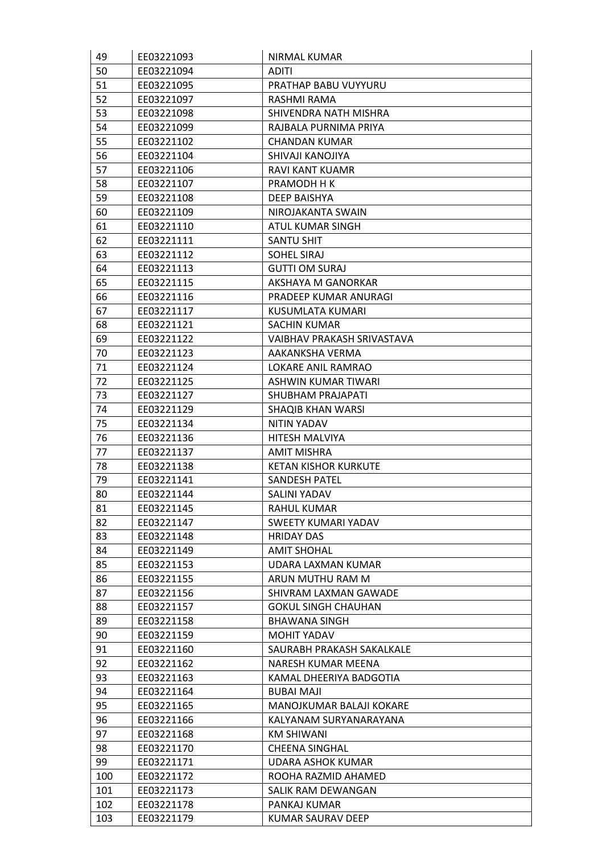| 49  | EE03221093 | NIRMAL KUMAR                |
|-----|------------|-----------------------------|
| 50  | EE03221094 | <b>ADITI</b>                |
| 51  | EE03221095 | PRATHAP BABU VUYYURU        |
| 52  | EE03221097 | RASHMI RAMA                 |
| 53  | EE03221098 | SHIVENDRA NATH MISHRA       |
| 54  | EE03221099 | RAJBALA PURNIMA PRIYA       |
| 55  | EE03221102 | <b>CHANDAN KUMAR</b>        |
| 56  | EE03221104 | SHIVAJI KANOJIYA            |
| 57  | EE03221106 | RAVI KANT KUAMR             |
| 58  | EE03221107 | PRAMODH H K                 |
| 59  | EE03221108 | DEEP BAISHYA                |
| 60  | EE03221109 | NIROJAKANTA SWAIN           |
| 61  | EE03221110 | ATUL KUMAR SINGH            |
| 62  | EE03221111 | <b>SANTU SHIT</b>           |
| 63  | EE03221112 | SOHEL SIRAJ                 |
| 64  | EE03221113 | <b>GUTTI OM SURAJ</b>       |
| 65  | EE03221115 | AKSHAYA M GANORKAR          |
| 66  | EE03221116 | PRADEEP KUMAR ANURAGI       |
| 67  | EE03221117 | KUSUMLATA KUMARI            |
| 68  | EE03221121 | <b>SACHIN KUMAR</b>         |
| 69  | EE03221122 | VAIBHAV PRAKASH SRIVASTAVA  |
| 70  | EE03221123 | AAKANKSHA VERMA             |
| 71  | EE03221124 | LOKARE ANIL RAMRAO          |
| 72  | EE03221125 | ASHWIN KUMAR TIWARI         |
| 73  | EE03221127 | SHUBHAM PRAJAPATI           |
| 74  | EE03221129 | SHAQIB KHAN WARSI           |
| 75  | EE03221134 | NITIN YADAV                 |
| 76  | EE03221136 | <b>HITESH MALVIYA</b>       |
| 77  | EE03221137 | <b>AMIT MISHRA</b>          |
| 78  | EE03221138 | <b>KETAN KISHOR KURKUTE</b> |
| 79  | EE03221141 | SANDESH PATEL               |
| 80  | EE03221144 | SALINI YADAV                |
| 81  | EE03221145 | <b>RAHUL KUMAR</b>          |
| 82  | EE03221147 | SWEETY KUMARI YADAV         |
| 83  | EE03221148 | <b>HRIDAY DAS</b>           |
| 84  | EE03221149 | <b>AMIT SHOHAL</b>          |
| 85  | EE03221153 | UDARA LAXMAN KUMAR          |
| 86  | EE03221155 | ARUN MUTHU RAM M            |
| 87  | EE03221156 | SHIVRAM LAXMAN GAWADE       |
| 88  | EE03221157 | <b>GOKUL SINGH CHAUHAN</b>  |
| 89  | EE03221158 | <b>BHAWANA SINGH</b>        |
| 90  | EE03221159 | MOHIT YADAV                 |
| 91  | EE03221160 | SAURABH PRAKASH SAKALKALE   |
| 92  | EE03221162 | NARESH KUMAR MEENA          |
| 93  | EE03221163 | KAMAL DHEERIYA BADGOTIA     |
| 94  | EE03221164 | <b>BUBAI MAJI</b>           |
| 95  | EE03221165 | MANOJKUMAR BALAJI KOKARE    |
| 96  | EE03221166 | KALYANAM SURYANARAYANA      |
| 97  | EE03221168 | <b>KM SHIWANI</b>           |
| 98  | EE03221170 | <b>CHEENA SINGHAL</b>       |
| 99  | EE03221171 | <b>UDARA ASHOK KUMAR</b>    |
| 100 | EE03221172 | ROOHA RAZMID AHAMED         |
| 101 | EE03221173 | SALIK RAM DEWANGAN          |
| 102 | EE03221178 | PANKAJ KUMAR                |
| 103 | EE03221179 | KUMAR SAURAV DEEP           |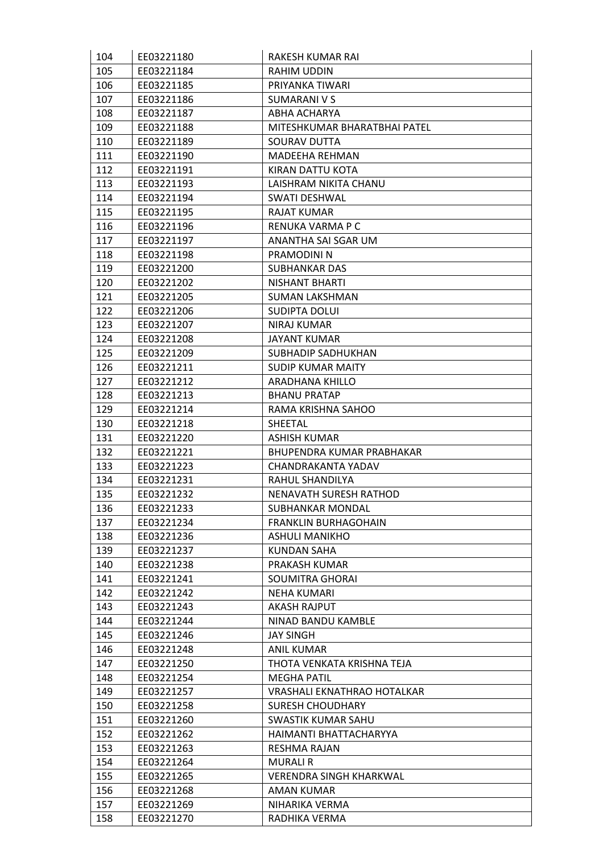| 104 | EE03221180 | RAKESH KUMAR RAI              |
|-----|------------|-------------------------------|
| 105 | EE03221184 | RAHIM UDDIN                   |
| 106 | EE03221185 | PRIYANKA TIWARI               |
| 107 | EE03221186 | SUMARANI V S                  |
| 108 | EE03221187 | ABHA ACHARYA                  |
| 109 | EE03221188 | MITESHKUMAR BHARATBHAI PATEL  |
| 110 | EE03221189 | SOURAV DUTTA                  |
| 111 | EE03221190 | MADEEHA REHMAN                |
| 112 | EE03221191 | KIRAN DATTU KOTA              |
| 113 | EE03221193 | LAISHRAM NIKITA CHANU         |
| 114 | EE03221194 | SWATI DESHWAL                 |
| 115 | EE03221195 | <b>RAJAT KUMAR</b>            |
| 116 | EE03221196 | RENUKA VARMA P C              |
| 117 | EE03221197 | ANANTHA SAI SGAR UM           |
| 118 | EE03221198 | PRAMODINI N                   |
| 119 | EE03221200 | SUBHANKAR DAS                 |
| 120 | EE03221202 | NISHANT BHARTI                |
| 121 | EE03221205 | <b>SUMAN LAKSHMAN</b>         |
| 122 | EE03221206 | <b>SUDIPTA DOLUI</b>          |
| 123 | EE03221207 | NIRAJ KUMAR                   |
| 124 | EE03221208 | JAYANT KUMAR                  |
| 125 | EE03221209 | SUBHADIP SADHUKHAN            |
| 126 | EE03221211 | <b>SUDIP KUMAR MAITY</b>      |
| 127 | EE03221212 | ARADHANA KHILLO               |
| 128 | EE03221213 | <b>BHANU PRATAP</b>           |
| 129 | EE03221214 | RAMA KRISHNA SAHOO            |
| 130 | EE03221218 | SHEETAL                       |
| 131 | EE03221220 | <b>ASHISH KUMAR</b>           |
| 132 | EE03221221 | BHUPENDRA KUMAR PRABHAKAR     |
| 133 | EE03221223 | CHANDRAKANTA YADAV            |
| 134 | EE03221231 | RAHUL SHANDILYA               |
| 135 | EE03221232 | <b>NENAVATH SURESH RATHOD</b> |
| 136 | EE03221233 | SUBHANKAR MONDAL              |
| 137 | EE03221234 | <b>FRANKLIN BURHAGOHAIN</b>   |
| 138 | EE03221236 | <b>ASHULI MANIKHO</b>         |
| 139 | EE03221237 | <b>KUNDAN SAHA</b>            |
| 140 | EE03221238 | PRAKASH KUMAR                 |
| 141 | EE03221241 | SOUMITRA GHORAI               |
| 142 | EE03221242 | <b>NEHA KUMARI</b>            |
| 143 | EE03221243 | <b>AKASH RAJPUT</b>           |
| 144 | EE03221244 | NINAD BANDU KAMBLE            |
| 145 | EE03221246 | <b>JAY SINGH</b>              |
| 146 | EE03221248 | ANIL KUMAR                    |
| 147 | EE03221250 | THOTA VENKATA KRISHNA TEJA    |
| 148 | EE03221254 | <b>MEGHA PATIL</b>            |
| 149 | EE03221257 | VRASHALI EKNATHRAO HOTALKAR   |
| 150 | EE03221258 | <b>SURESH CHOUDHARY</b>       |
| 151 | EE03221260 | <b>SWASTIK KUMAR SAHU</b>     |
| 152 | EE03221262 | HAIMANTI BHATTACHARYYA        |
| 153 | EE03221263 | RESHMA RAJAN                  |
| 154 | EE03221264 | <b>MURALI R</b>               |
| 155 | EE03221265 | VERENDRA SINGH KHARKWAL       |
| 156 | EE03221268 | AMAN KUMAR                    |
| 157 | EE03221269 | NIHARIKA VERMA                |
| 158 | EE03221270 | RADHIKA VERMA                 |
|     |            |                               |